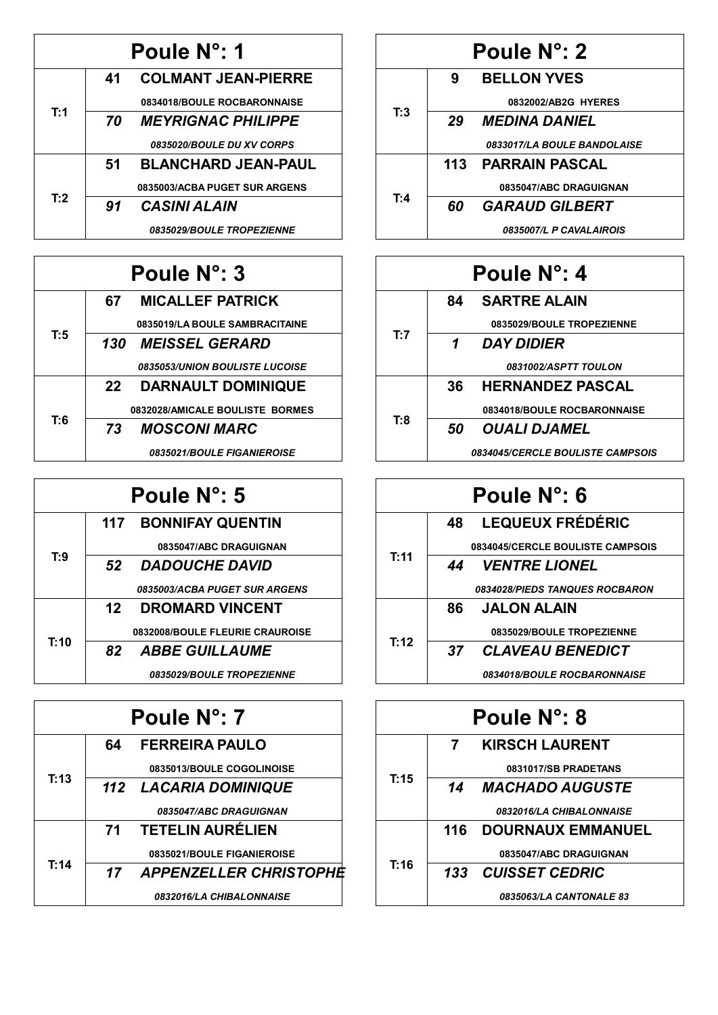|     |    | Poule N°: 1                   |
|-----|----|-------------------------------|
|     | 41 | <b>COLMANT JEAN-PIERRE</b>    |
|     |    | 0834018/BOULE ROCBARONNAISE   |
| T:1 | 70 | <b>MEYRIGNAC PHILIPPE</b>     |
|     |    | 0835020/BOULE DU XV CORPS     |
|     | 51 | <b>BLANCHARD JEAN-PAUL</b>    |
| T:2 |    | 0835003/ACBA PUGET SUR ARGENS |
|     | 91 | <b>CASINI ALAIN</b>           |
|     |    | 0835029/BOULE TROPEZIENNE     |

| Poule N°: 3 |     |                                          |
|-------------|-----|------------------------------------------|
|             | 67. | <b>MICALLEF PATRICK</b>                  |
|             |     | 0835019/LA BOULE SAMBRACITAINE           |
| T:5         |     | 130 MEISSEL GERARD                       |
|             |     | <b>0835053/UNION BOULISTE LUCOISE</b>    |
|             | 22  | <b>DARNAULT DOMINIQUE</b>                |
|             |     | 0832028/AMICALE BOULISTE BORMES          |
| T:6         | 73  | <b>MOSCONI MARC</b>                      |
|             |     | <i><b>0835021/BOULE FIGANIEROISE</b></i> |

|      |    | Poule N°: 5                          |
|------|----|--------------------------------------|
|      |    | <b>117 BONNIFAY QUENTIN</b>          |
|      |    | 0835047/ABC DRAGUIGNAN               |
| T:9  |    | 52 DADOUCHE DAVID                    |
|      |    | <b>0835003/ACBA PUGET SUR ARGENS</b> |
|      | 12 | <b>DROMARD VINCENT</b>               |
| T:10 |    | 0832008/BOULE FLEURIE CRAUROISE      |
|      |    | 82 ABBE GUILLAUME                    |
|      |    | 0835029/BOULE TROPEZIENNE            |

|      |    | Poule N°: 7                          |
|------|----|--------------------------------------|
|      | 64 | <b>FERREIRA PAULO</b>                |
|      |    | 0835013/BOULE COGOLINOISE            |
| T:13 |    | 112 LACARIA DOMINIQUE                |
|      |    | <i><b>0835047/ABC DRAGUIGNAN</b></i> |
|      | 71 | <b>TETELIN AURELIEN</b>              |
|      |    | 0835021/BOULE FIGANIEROISE           |
| T:14 |    | 17 APPENZELLER CHRISTOPHE            |
|      |    | <b>0832016/LA CHIBALONNAISE</b>      |

|     |    | Poule N°: 2                        |
|-----|----|------------------------------------|
|     | 9  | <b>BELLON YVES</b>                 |
|     |    | 0832002/AB2G HYERES                |
| T:3 | 29 | <b>MEDINA DANIEL</b>               |
|     |    | <b>0833017/LA BOULE BANDOLAISE</b> |
|     |    | 113 PARRAIN PASCAL                 |
| T:4 |    | 0835047/ABC DRAGUIGNAN             |
|     | 60 | <b>GARAUD GILBERT</b>              |
|     |    | 0835007/L P CAVALAIROIS            |

| Poule N°: 4 |     |                                         |
|-------------|-----|-----------------------------------------|
|             | 84  | <b>SARTRE ALAIN</b>                     |
|             |     | 0835029/BOULE TROPEZIENNE               |
| T:7         | 1   | <b>DAY DIDIER</b>                       |
|             |     | 0831002/ASPTT TOULON                    |
|             | 36. | <b>HERNANDEZ PASCAL</b>                 |
| T:8         |     | 0834018/BOULE ROCBARONNAISE             |
|             | 50  | OUALI DJAMEL                            |
|             |     | <b>0834045/CERCLE BOULISTE CAMPSOIS</b> |

| Poule N°: 6 |                                       |  |
|-------------|---------------------------------------|--|
|             | <b>LEQUEUX FRÉDÉRIC</b><br>48 —       |  |
|             | 0834045/CERCLE BOULISTE CAMPSOIS      |  |
| T:11        | <b>VENTRE LIONEL</b><br>44            |  |
|             | <b>0834028/PIEDS TANQUES ROCBARON</b> |  |
|             | <b>JALON ALAIN</b><br>86 -            |  |
|             | 0835029/BOULE TROPEZIENNE             |  |
| T:12        | <b>CLAVEAU BENEDICT</b><br>37         |  |
|             | <b>0834018/BOULE ROCBARONNAISE</b>    |  |

|      |      | Poule N°: 8                            |
|------|------|----------------------------------------|
|      | 7    | <b>KIRSCH LAURENT</b>                  |
|      |      | 0831017/SB PRADETANS                   |
| T:15 | 14   | <b>MACHADO AUGUSTE</b>                 |
|      |      | <i><b>0832016/LA CHIBALONNAISE</b></i> |
|      | 116. | <b>DOURNAUX EMMANUEL</b>               |
| T:16 |      | 0835047/ABC DRAGUIGNAN                 |
|      | 133  | <b>CUISSET CEDRIC</b>                  |
|      |      | 0835063/LA CANTONALE 83                |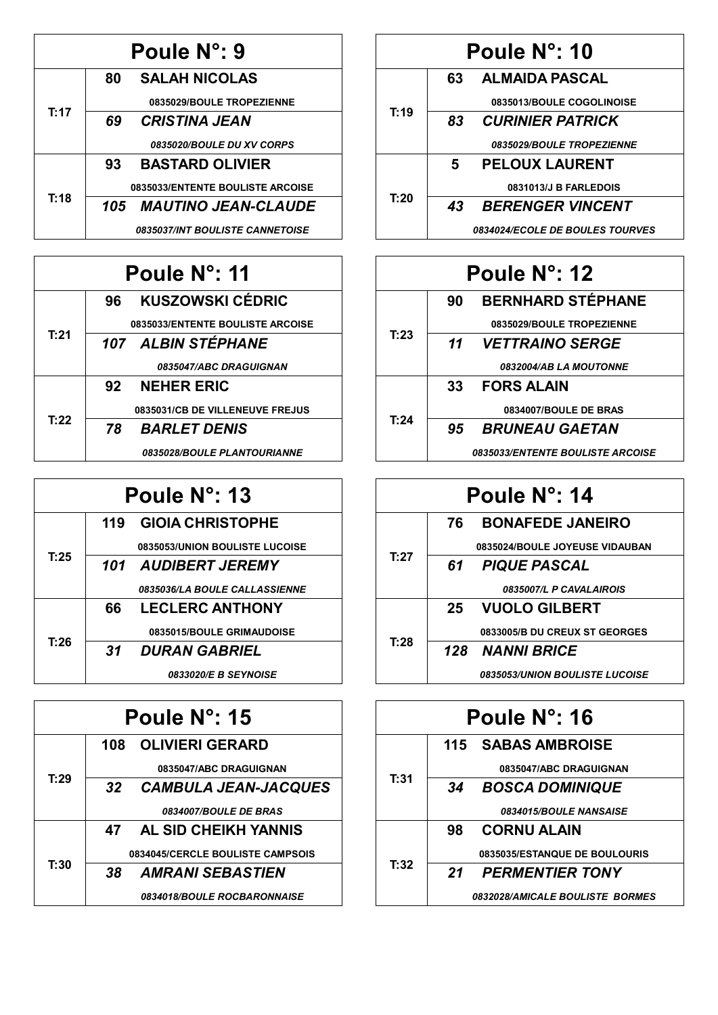|      | Poule N°: 9                      |
|------|----------------------------------|
|      | <b>SALAH NICOLAS</b><br>80       |
|      | 0835029/BOULE TROPEZIENNE        |
| T:17 | <b>CRISTINA JEAN</b><br>69       |
|      | 0835020/BOULE DU XV CORPS        |
|      | <b>BASTARD OLIVIER</b><br>93     |
| T:18 | 0835033/ENTENTE BOULISTE ARCOISE |
|      | 105 MAUTINO JEAN-CLAUDE          |
|      | 0835037/INT BOULISTE CANNETOISE  |

| Poule N°: 11 |                                    |  |
|--------------|------------------------------------|--|
|              | <b>KUSZOWSKI CÉDRIC</b><br>96 -    |  |
|              | 0835033/ENTENTE BOULISTE ARCOISE   |  |
| T:21         | 107 ALBIN STÉPHANE                 |  |
|              | 0835047/ABC DRAGUIGNAN             |  |
|              | 92 NEHER ERIC                      |  |
|              | 0835031/CB DE VILLENEUVE FREJUS    |  |
| T:22         | <b>BARLET DENIS</b><br>78 -        |  |
|              | <b>0835028/BOULE PLANTOURIANNE</b> |  |

| Poule N°: 13 |      |                                |
|--------------|------|--------------------------------|
|              |      | 119 GIOIA CHRISTOPHE           |
|              |      | 0835053/UNION BOULISTE LUCOISE |
| T:25         |      | 101 AUDIBERT JEREMY            |
|              |      | 0835036/LA BOULE CALLASSIENNE  |
|              | 66 - | <b>LECLERC ANTHONY</b>         |
|              |      | 0835015/BOULE GRIMAUDOISE      |
| T:26         | 31   | <b>DURAN GABRIEL</b>           |
|              |      | <b>0833020/E B SEYNOISE</b>    |

|      | Poule N°: 15                       |
|------|------------------------------------|
|      | 108 OLIVIERI GERARD                |
|      | 0835047/ABC DRAGUIGNAN             |
| T:29 | 32 CAMBULA JEAN-JACQUES            |
|      | 0834007/BOULE DE BRAS              |
|      | AL SID CHEIKH YANNIS<br>47         |
| T:30 | 0834045/CERCLE BOULISTE CAMPSOIS   |
|      | <b>AMRANI SEBASTIEN</b><br>38.     |
|      | <b>0834018/BOULE ROCBARONNAISE</b> |

| Poule N°: 10 |    |                                        |
|--------------|----|----------------------------------------|
|              | 63 | <b>ALMAIDA PASCAL</b>                  |
|              |    | 0835013/BOULE COGOLINOISE              |
| T:19         | 83 | <b>CURINIER PATRICK</b>                |
|              |    | 0835029/BOULE TROPEZIENNE              |
|              | 5  | <b>PELOUX LAURENT</b>                  |
| T:20         |    | 0831013/J B FARLEDOIS                  |
|              | 43 | <b>BERENGER VINCENT</b>                |
|              |    | <b>0834024/ECOLE DE BOULES TOURVES</b> |

| Poule N°: 12 |                 |                                  |
|--------------|-----------------|----------------------------------|
|              | 90              | <b>BERNHARD STÉPHANE</b>         |
|              |                 | 0835029/BOULE TROPEZIENNE        |
| T:23         |                 | 11 VETTRAINO SERGE               |
|              |                 | 0832004/AB LA MOUTONNE           |
|              | 33 <sup>7</sup> | <b>FORS ALAIN</b>                |
|              |                 | 0834007/BOULE DE BRAS            |
| T:24         | 95              | <b>BRUNEAU GAETAN</b>            |
|              |                 | 0835033/ENTENTE BOULISTE ARCOISE |

| Poule N°: 14 |                                       |  |
|--------------|---------------------------------------|--|
|              | <b>BONAFEDE JANEIRO</b><br>76 —       |  |
|              | 0835024/BOULE JOYEUSE VIDAUBAN        |  |
| T:27         | 61 PIQUE PASCAL                       |  |
|              | 0835007/L P CAVALAIROIS               |  |
|              | 25 VUOLO GILBERT                      |  |
| T:28         | 0833005/B DU CREUX ST GEORGES         |  |
|              | 128 NANNI BRICE                       |  |
|              | <b>0835053/UNION BOULISTE LUCOISE</b> |  |

| Poule N°: 16 |                                      |  |
|--------------|--------------------------------------|--|
|              | 115 SABAS AMBROISE                   |  |
|              | 0835047/ABC DRAGUIGNAN               |  |
| T:31         | <b>BOSCA DOMINIQUE</b><br>34         |  |
|              | <i><b>0834015/BOULE NANSAISE</b></i> |  |
|              | <b>CORNU ALAIN</b><br>98             |  |
| T:32         | 0835035/ESTANQUE DE BOULOURIS        |  |
|              | <b>PERMENTIER TONY</b><br>21         |  |
|              | 0832028/AMICALE BOULISTE BORMES      |  |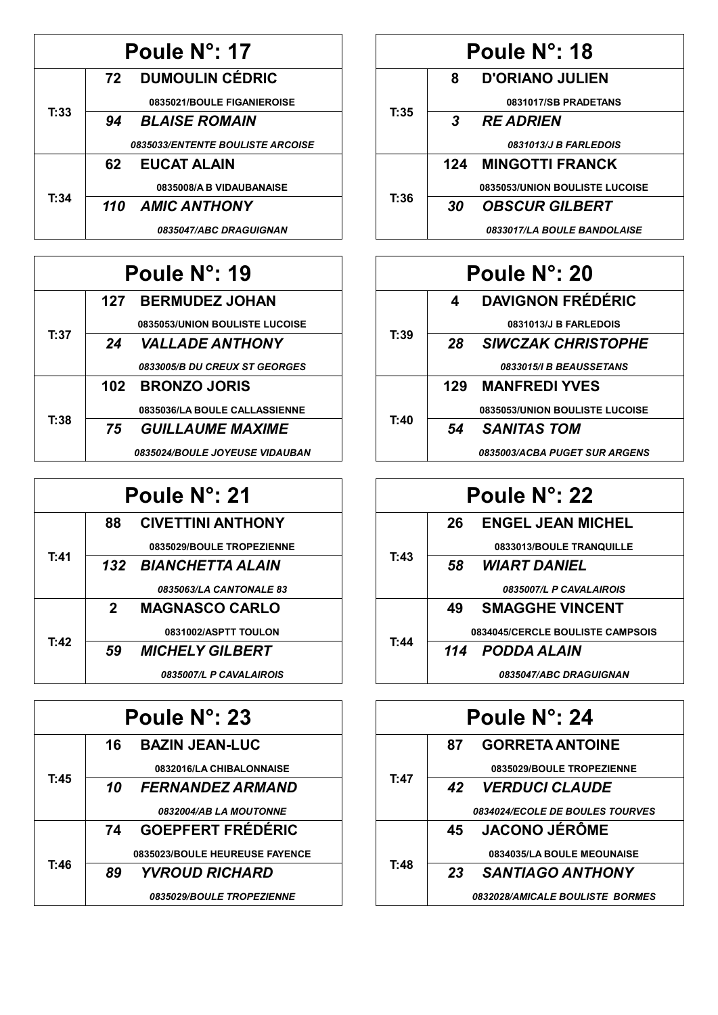| Poule N°: 17 |      |                                         |
|--------------|------|-----------------------------------------|
|              |      | 72 DUMOULIN CÉDRIC                      |
|              |      | 0835021/BOULE FIGANIEROISE              |
| T:33         | 94   | <b>BLAISE ROMAIN</b>                    |
|              |      | <b>0835033/ENTENTE BOULISTE ARCOISE</b> |
|              | 62 - | <b>EUCAT ALAIN</b>                      |
|              |      | 0835008/A B VIDAUBANAISE                |
| T:34         |      | 110 AMIC ANTHONY                        |
|              |      | <i><b>0835047/ABC DRAGUIGNAN</b></i>    |

| Poule N°: 19 |      |                                       |
|--------------|------|---------------------------------------|
|              |      | 127 BERMUDEZ JOHAN                    |
|              |      | 0835053/UNION BOULISTE LUCOISE        |
| T:37         |      | 24 VALLADE ANTHONY                    |
|              |      | 0833005/B DU CREUX ST GEORGES         |
|              |      | 102 BRONZO JORIS                      |
|              |      | 0835036/LA BOULE CALLASSIENNE         |
| T:38         | 75 — | GUILLAUME MAXIME                      |
|              |      | <b>0835024/BOULE JOYEUSE VIDAUBAN</b> |

| Poule N°: 21 |             |                           |
|--------------|-------------|---------------------------|
|              | 88          | <b>CIVETTINI ANTHONY</b>  |
|              |             | 0835029/BOULE TROPEZIENNE |
| T:41         |             | 132 BIANCHETTA ALAIN      |
|              |             | 0835063/LA CANTONALE 83   |
|              | $2^{\circ}$ | <b>MAGNASCO CARLO</b>     |
|              |             | 0831002/ASPTT TOULON      |
| T:42         | 59          | <b>MICHELY GILBERT</b>    |
|              |             | 0835007/L P CAVALAIROIS   |

| Poule N°: 23 |     |                                      |
|--------------|-----|--------------------------------------|
|              | 16. | <b>BAZIN JEAN-LUC</b>                |
|              |     | 0832016/LA CHIBALONNAISE             |
| T:45         | 10  | <i><b>FERNANDEZ ARMAND</b></i>       |
|              |     | <i><b>0832004/AB LA MOUTONNE</b></i> |
|              | 74  | <b>GOEPFERT FRÉDÉRIC</b>             |
|              |     | 0835023/BOULE HEUREUSE FAYENCE       |
| T:46         | 89  | <b>YVROUD RICHARD</b>                |
|              |     | 0835029/BOULE TROPEZIENNE            |

| Poule N°: 18 |    |                                     |
|--------------|----|-------------------------------------|
|              | 8  | D'ORIANO JULIEN                     |
|              |    | 0831017/SB PRADETANS                |
| T:35         | 3  | <b>RE ADRIEN</b>                    |
|              |    | <i><b>0831013/J B FARLEDOIS</b></i> |
|              |    | <b>124 MINGOTTI FRANCK</b>          |
| T:36         |    | 0835053/UNION BOULISTE LUCOISE      |
|              | 30 | <b>OBSCUR GILBERT</b>               |
|              |    | 0833017/LA BOULE BANDOLAISE         |

| Poule N°: 20 |                                      |  |
|--------------|--------------------------------------|--|
|              | <b>DAVIGNON FRÉDÉRIC</b><br>4        |  |
|              | 0831013/J B FARLEDOIS                |  |
| T:39         | <b>SIWCZAK CHRISTOPHE</b><br>28      |  |
|              | 0833015/I B BEAUSSETANS              |  |
|              | 129 MANFREDI YVES                    |  |
| T:40         | 0835053/UNION BOULISTE LUCOISE       |  |
|              | <b>SANITAS TOM</b><br>54             |  |
|              | <b>0835003/ACBA PUGET SUR ARGENS</b> |  |

| Poule N°: 22 |                                    |  |
|--------------|------------------------------------|--|
|              | <b>ENGEL JEAN MICHEL</b><br>26 —   |  |
|              | 0833013/BOULE TRANQUILLE           |  |
| T:43         | <i><b>WIART DANIEL</b></i><br>58 — |  |
|              | 0835007/L P CAVALAIROIS            |  |
|              | <b>SMAGGHE VINCENT</b><br>49.      |  |
| T:44         | 0834045/CERCLE BOULISTE CAMPSOIS   |  |
|              | 114 PODDA ALAIN                    |  |
|              | <b>0835047/ABC DRAGUIGNAN</b>      |  |

| Poule N°: 24 |                                 |  |  |  |
|--------------|---------------------------------|--|--|--|
|              | <b>GORRETA ANTOINE</b><br>87    |  |  |  |
|              | 0835029/BOULE TROPEZIENNE       |  |  |  |
| T:47         | 42 VERDUCI CLAUDE               |  |  |  |
|              | 0834024/ECOLE DE BOULES TOURVES |  |  |  |
|              | 45 JACONO JÉRÔME                |  |  |  |
| T:48         | 0834035/LA BOULE MEOUNAISE      |  |  |  |
|              | <b>SANTIAGO ANTHONY</b><br>23   |  |  |  |
|              | 0832028/AMICALE BOULISTE BORMES |  |  |  |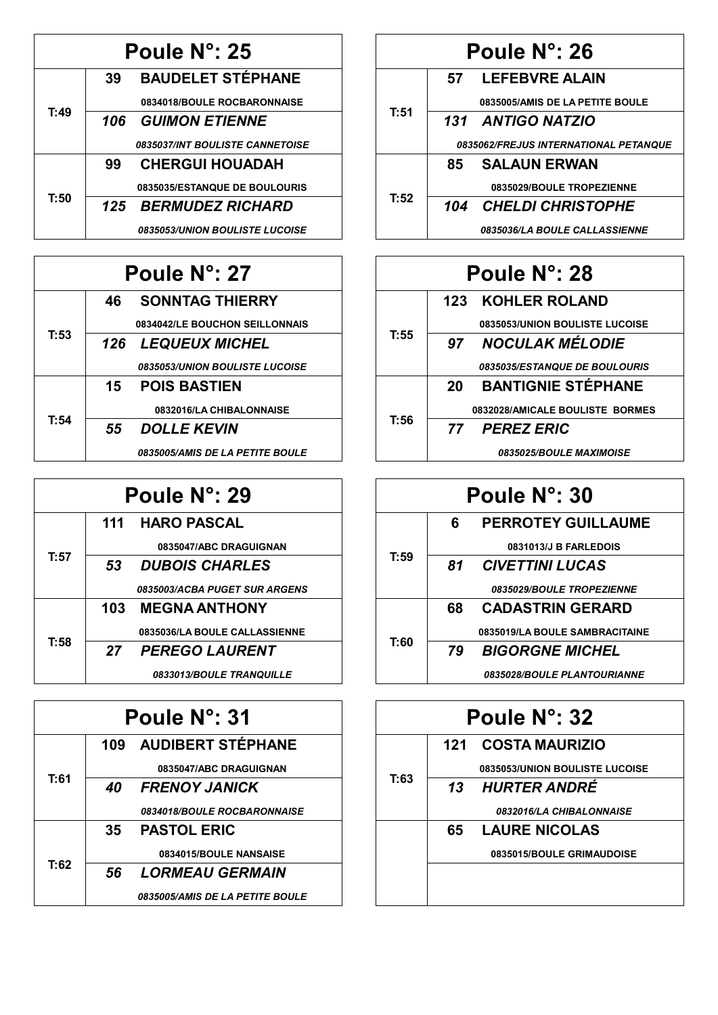| Poule N°: 25 |    |                                              |
|--------------|----|----------------------------------------------|
|              | 39 | <b>BAUDELET STÉPHANE</b>                     |
|              |    | 0834018/BOULE ROCBARONNAISE                  |
| T:49         |    | 106 GUIMON ETIENNE                           |
|              |    | 0835037/INT BOULISTE CANNETOISE              |
|              | 99 | <b>CHERGUI HOUADAH</b>                       |
| T:50         |    | 0835035/ESTANQUE DE BOULOURIS                |
|              |    | 125 BERMUDEZ RICHARD                         |
|              |    | <i><b>0835053/UNION BOULISTE LUCOISE</b></i> |

| Poule N°: 27 |      |                                              |
|--------------|------|----------------------------------------------|
|              | 46 — | <b>SONNTAG THIERRY</b>                       |
|              |      | 0834042/LE BOUCHON SEILLONNAIS               |
| T:53         |      | <b>126 LEQUEUX MICHEL</b>                    |
|              |      | <i><b>0835053/UNION BOULISTE LUCOISE</b></i> |
|              |      | <b>15 POIS BASTIEN</b>                       |
| T:54         |      | 0832016/LA CHIBALONNAISE                     |
|              | 55   | <b>DOLLE KEVIN</b>                           |
|              |      | <b>0835005/AMIS DE LA PETITE BOULE</b>       |

| Poule N°: 29 |    |                               |
|--------------|----|-------------------------------|
|              |    | 111 HARO PASCAL               |
|              |    | 0835047/ABC DRAGUIGNAN        |
| T:57         | 53 | <b>DUBOIS CHARLES</b>         |
|              |    | 0835003/ACBA PUGET SUR ARGENS |
|              |    | <b>103 MEGNA ANTHONY</b>      |
| T:58         |    | 0835036/LA BOULE CALLASSIENNE |
|              |    | 27 PEREGO LAURENT             |
|              |    | 0833013/BOULE TRANQUILLE      |

| Poule N°: 31 |    |                                        |
|--------------|----|----------------------------------------|
|              |    | 109 AUDIBERT STÉPHANE                  |
|              |    | 0835047/ABC DRAGUIGNAN                 |
| T:61         | 40 | <b>FRENOY JANICK</b>                   |
|              |    | <b>0834018/BOULE ROCBARONNAISE</b>     |
|              | 35 | <b>PASTOL ERIC</b>                     |
| T:62         |    | 0834015/BOULE NANSAISE                 |
|              | 56 | <b>LORMEAU GERMAIN</b>                 |
|              |    | <b>0835005/AMIS DE LA PETITE BOULE</b> |

| Poule N°: 26 |                                       |                                             |
|--------------|---------------------------------------|---------------------------------------------|
|              |                                       | 57 LEFEBVRE ALAIN                           |
| T:51         |                                       | 0835005/AMIS DE LA PETITE BOULE             |
|              |                                       | 131 ANTIGO NATZIO                           |
|              | 0835062/FREJUS INTERNATIONAL PETANQUE |                                             |
|              | 85 —                                  | <b>SALAUN ERWAN</b>                         |
| T:52         |                                       | 0835029/BOULE TROPEZIENNE                   |
|              |                                       | 104 CHELDI CHRISTOPHE                       |
|              |                                       | <i><b>0835036/LA BOULE CALLASSIENNE</b></i> |

| Poule N°: 28 |                                       |  |
|--------------|---------------------------------------|--|
|              | <b>123 KOHLER ROLAND</b>              |  |
|              | 0835053/UNION BOULISTE LUCOISE        |  |
| T:55         | <b>NOCULAK MÉLODIE</b><br>97          |  |
|              | 0835035/ESTANQUE DE BOULOURIS         |  |
|              | <b>BANTIGNIE STÉPHANE</b><br>20       |  |
| T:56         | 0832028/AMICALE BOULISTE BORMES       |  |
|              | <b>PEREZ ERIC</b><br>77               |  |
|              | <i><b>0835025/BOULE MAXIMOISE</b></i> |  |

| Poule N°: 30 |    |                                    |
|--------------|----|------------------------------------|
|              | 6  | <b>PERROTEY GUILLAUME</b>          |
|              |    | 0831013/J B FARLEDOIS              |
| T:59         | 81 | <b>CIVETTINI LUCAS</b>             |
|              |    | 0835029/BOULE TROPEZIENNE          |
|              | 68 | <b>CADASTRIN GERARD</b>            |
| T:60         |    | 0835019/LA BOULE SAMBRACITAINE     |
|              | 79 | <b>BIGORGNE MICHEL</b>             |
|              |    | <b>0835028/BOULE PLANTOURIANNE</b> |

|      | Poule N°: 32                   |  |
|------|--------------------------------|--|
|      | 121 COSTA MAURIZIO             |  |
| T:63 | 0835053/UNION BOULISTE LUCOISE |  |
|      | 13 HURTER ANDRÉ                |  |
|      | 0832016/LA CHIBALONNAISE       |  |
|      | <b>LAURE NICOLAS</b><br>65 —   |  |
|      | 0835015/BOULE GRIMAUDOISE      |  |
|      |                                |  |
|      |                                |  |